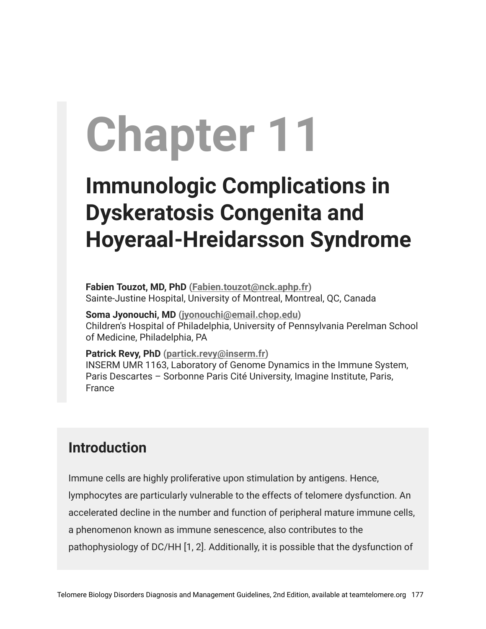# **Chapter 11**

## **Immunologic Complications in Dyskeratosis Congenita and Hoyeraal-Hreidarsson Syndrome**

**Fabien Touzot, MD, PhD [\(Fabien.touzot@nck.aphp.fr](mailto:Fabien.touzot@nck.aphp.fr))** Sainte-Justine Hospital, University of Montreal, Montreal, QC, Canada

**Soma Jyonouchi, MD ([jyonouchi@email.chop.edu](mailto:jyonouchi@email.chop.edu))** Children's Hospital of Philadelphia, University of Pennsylvania Perelman School of Medicine, Philadelphia, PA

**Patrick Revy, PhD ([partick.revy@inserm.fr](mailto:partick.revy@inserm.fr))** INSERM UMR 1163, Laboratory of Genome Dynamics in the Immune System, Paris Descartes – Sorbonne Paris Cité University, Imagine Institute, Paris, France

#### **Introduction**

Immune cells are highly proliferative upon stimulation by antigens. Hence, lymphocytes are particularly vulnerable to the effects of telomere dysfunction. An accelerated decline in the number and function of peripheral mature immune cells, a phenomenon known as immune senescence, also contributes to the pathophysiology of DC/HH [1, 2]. Additionally, it is possible that the dysfunction of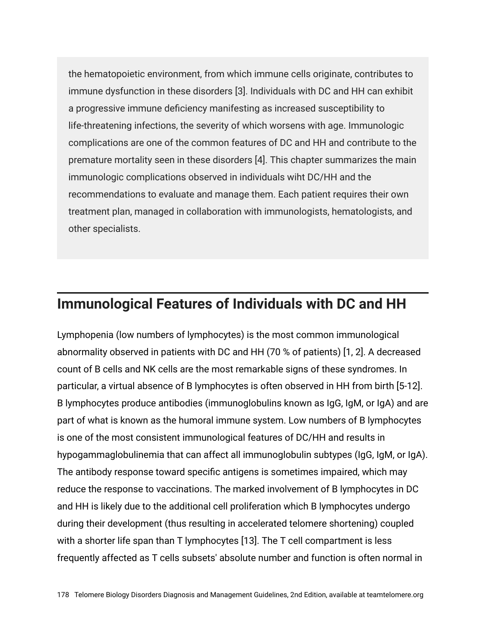the hematopoietic environment, from which immune cells originate, contributes to immune dysfunction in these disorders [3]. Individuals with DC and HH can exhibit a progressive immune deficiency manifesting as increased susceptibility to life-threatening infections, the severity of which worsens with age. Immunologic complications are one of the common features of DC and HH and contribute to the premature mortality seen in these disorders [4]. This chapter summarizes the main immunologic complications observed in individuals wiht DC/HH and the recommendations to evaluate and manage them. Each patient requires their own treatment plan, managed in collaboration with immunologists, hematologists, and other specialists.

#### **Immunological Features of Individuals with DC and HH**

Lymphopenia (low numbers of lymphocytes) is the most common immunological abnormality observed in patients with DC and HH (70 % of patients) [1, 2]. A decreased count of B cells and NK cells are the most remarkable signs of these syndromes. In particular, a virtual absence of B lymphocytes is often observed in HH from birth [5-12]. B lymphocytes produce antibodies (immunoglobulins known as IgG, IgM, or IgA) and are part of what is known as the humoral immune system. Low numbers of B lymphocytes is one of the most consistent immunological features of DC/HH and results in hypogammaglobulinemia that can affect all immunoglobulin subtypes (IgG, IgM, or IgA). The antibody response toward specific antigens is sometimes impaired, which may reduce the response to vaccinations. The marked involvement of B lymphocytes in DC and HH is likely due to the additional cell proliferation which B lymphocytes undergo during their development (thus resulting in accelerated telomere shortening) coupled with a shorter life span than T lymphocytes [13]. The T cell compartment is less frequently affected as T cells subsets' absolute number and function is often normal in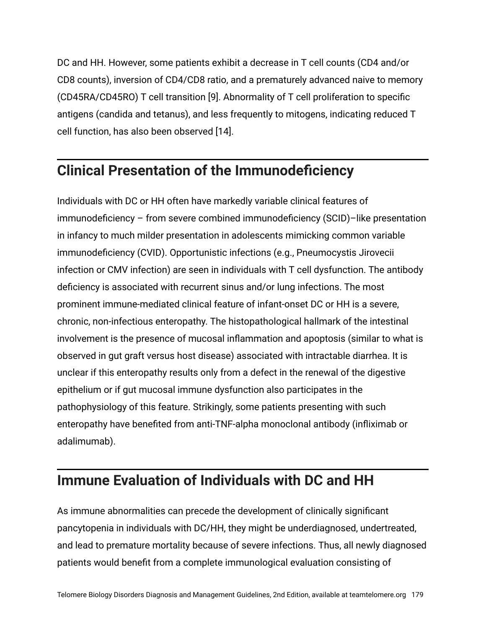DC and HH. However, some patients exhibit a decrease in T cell counts (CD4 and/or CD8 counts), inversion of CD4/CD8 ratio, and a prematurely advanced naive to memory (CD45RA/CD45RO) T cell transition [9]. Abnormality of T cell proliferation to specific antigens (candida and tetanus), and less frequently to mitogens, indicating reduced T cell function, has also been observed [14].

#### **Clinical Presentation of the Immunodeficiency**

Individuals with DC or HH often have markedly variable clinical features of immunodeficiency – from severe combined immunodeficiency (SCID)–like presentation in infancy to much milder presentation in adolescents mimicking common variable immunodeficiency (CVID). Opportunistic infections (e.g., Pneumocystis Jirovecii infection or CMV infection) are seen in individuals with T cell dysfunction. The antibody deficiency is associated with recurrent sinus and/or lung infections. The most prominent immune-mediated clinical feature of infant-onset DC or HH is a severe, chronic, non-infectious enteropathy. The histopathological hallmark of the intestinal involvement is the presence of mucosal inflammation and apoptosis (similar to what is observed in gut graft versus host disease) associated with intractable diarrhea. It is unclear if this enteropathy results only from a defect in the renewal of the digestive epithelium or if gut mucosal immune dysfunction also participates in the pathophysiology of this feature. Strikingly, some patients presenting with such enteropathy have benefited from anti-TNF-alpha monoclonal antibody (infliximab or adalimumab).

#### **Immune Evaluation of Individuals with DC and HH**

As immune abnormalities can precede the development of clinically significant pancytopenia in individuals with DC/HH, they might be underdiagnosed, undertreated, and lead to premature mortality because of severe infections. Thus, all newly diagnosed patients would benefit from a complete immunological evaluation consisting of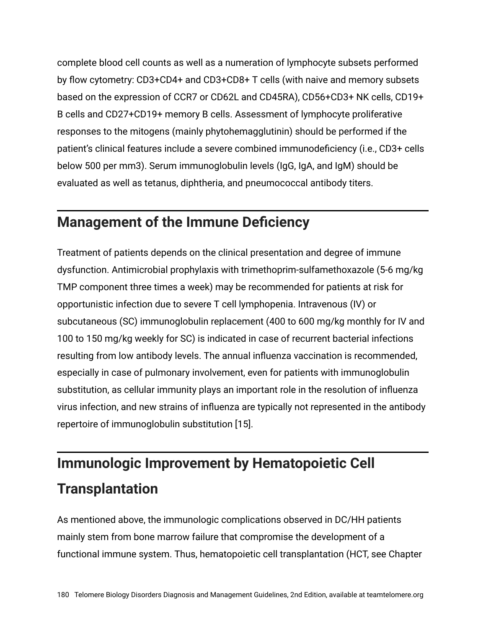complete blood cell counts as well as a numeration of lymphocyte subsets performed by flow cytometry: CD3+CD4+ and CD3+CD8+ T cells (with naive and memory subsets based on the expression of CCR7 or CD62L and CD45RA), CD56+CD3+ NK cells, CD19+ B cells and CD27+CD19+ memory B cells. Assessment of lymphocyte proliferative responses to the mitogens (mainly phytohemagglutinin) should be performed if the patient's clinical features include a severe combined immunodeficiency (i.e., CD3+ cells below 500 per mm3). Serum immunoglobulin levels (IgG, IgA, and IgM) should be evaluated as well as tetanus, diphtheria, and pneumococcal antibody titers.

#### **Management of the Immune Deficiency**

Treatment of patients depends on the clinical presentation and degree of immune dysfunction. Antimicrobial prophylaxis with trimethoprim-sulfamethoxazole (5-6 mg/kg TMP component three times a week) may be recommended for patients at risk for opportunistic infection due to severe T cell lymphopenia. Intravenous (IV) or subcutaneous (SC) immunoglobulin replacement (400 to 600 mg/kg monthly for IV and 100 to 150 mg/kg weekly for SC) is indicated in case of recurrent bacterial infections resulting from low antibody levels. The annual influenza vaccination is recommended, especially in case of pulmonary involvement, even for patients with immunoglobulin substitution, as cellular immunity plays an important role in the resolution of influenza virus infection, and new strains of influenza are typically not represented in the antibody repertoire of immunoglobulin substitution [15].

### **Immunologic Improvement by Hematopoietic Cell Transplantation**

As mentioned above, the immunologic complications observed in DC/HH patients mainly stem from bone marrow failure that compromise the development of a functional immune system. Thus, hematopoietic cell transplantation (HCT, see Chapter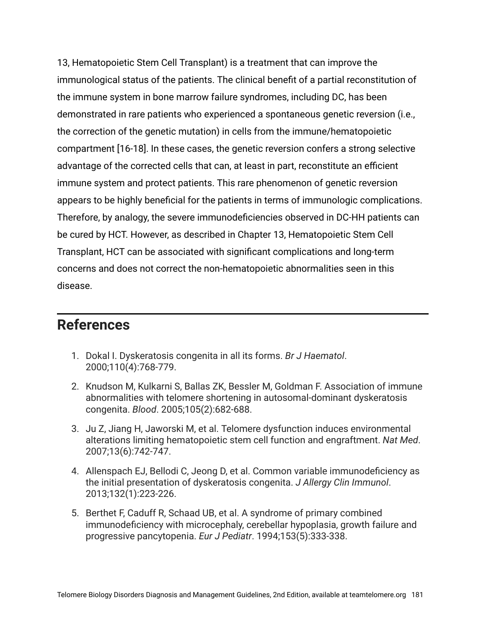13, Hematopoietic Stem Cell Transplant) is a treatment that can improve the immunological status of the patients. The clinical benefit of a partial reconstitution of the immune system in bone marrow failure syndromes, including DC, has been demonstrated in rare patients who experienced a spontaneous genetic reversion (i.e., the correction of the genetic mutation) in cells from the immune/hematopoietic compartment [16-18]. In these cases, the genetic reversion confers a strong selective advantage of the corrected cells that can, at least in part, reconstitute an efficient immune system and protect patients. This rare phenomenon of genetic reversion appears to be highly beneficial for the patients in terms of immunologic complications. Therefore, by analogy, the severe immunodeficiencies observed in DC-HH patients can be cured by HCT. However, as described in Chapter 13, Hematopoietic Stem Cell Transplant, HCT can be associated with significant complications and long-term concerns and does not correct the non-hematopoietic abnormalities seen in this disease.

#### **References**

- 1. Dokal I. Dyskeratosis congenita in all its forms. *Br J Haematol*. 2000;110(4):768-779.
- 2. Knudson M, Kulkarni S, Ballas ZK, Bessler M, Goldman F. Association of immune abnormalities with telomere shortening in autosomal-dominant dyskeratosis congenita. *Blood*. 2005;105(2):682-688.
- 3. Ju Z, Jiang H, Jaworski M, et al. Telomere dysfunction induces environmental alterations limiting hematopoietic stem cell function and engraftment. *Nat Med*. 2007;13(6):742-747.
- 4. Allenspach EJ, Bellodi C, Jeong D, et al. Common variable immunodeficiency as the initial presentation of dyskeratosis congenita. *J Allergy Clin Immunol*. 2013;132(1):223-226.
- 5. Berthet F, Caduff R, Schaad UB, et al. A syndrome of primary combined immunodeficiency with microcephaly, cerebellar hypoplasia, growth failure and progressive pancytopenia. *Eur J Pediatr*. 1994;153(5):333-338.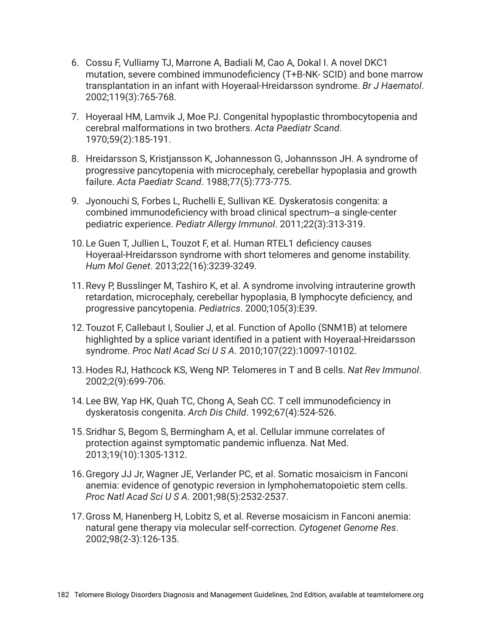- 6. Cossu F, Vulliamy TJ, Marrone A, Badiali M, Cao A, Dokal I. A novel DKC1 mutation, severe combined immunodeficiency (T+B-NK- SCID) and bone marrow transplantation in an infant with Hoyeraal-Hreidarsson syndrome. *Br J Haematol*. 2002;119(3):765-768.
- 7. Hoyeraal HM, Lamvik J, Moe PJ. Congenital hypoplastic thrombocytopenia and cerebral malformations in two brothers. *Acta Paediatr Scand*. 1970;59(2):185-191.
- 8. Hreidarsson S, Kristjansson K, Johannesson G, Johannsson JH. A syndrome of progressive pancytopenia with microcephaly, cerebellar hypoplasia and growth failure. *Acta Paediatr Scand*. 1988;77(5):773-775.
- 9. Jyonouchi S, Forbes L, Ruchelli E, Sullivan KE. Dyskeratosis congenita: a combined immunodeficiency with broad clinical spectrum--a single-center pediatric experience. *Pediatr Allergy Immunol*. 2011;22(3):313-319.
- 10.Le Guen T, Jullien L, Touzot F, et al. Human RTEL1 deficiency causes Hoyeraal-Hreidarsson syndrome with short telomeres and genome instability. *Hum Mol Genet*. 2013;22(16):3239-3249.
- 11.Revy P, Busslinger M, Tashiro K, et al. A syndrome involving intrauterine growth retardation, microcephaly, cerebellar hypoplasia, B lymphocyte deficiency, and progressive pancytopenia. *Pediatrics*. 2000;105(3):E39.
- 12.Touzot F, Callebaut I, Soulier J, et al. Function of Apollo (SNM1B) at telomere highlighted by a splice variant identified in a patient with Hoyeraal-Hreidarsson syndrome. *Proc Natl Acad Sci U S A*. 2010;107(22):10097-10102.
- 13.Hodes RJ, Hathcock KS, Weng NP. Telomeres in T and B cells. *Nat Rev Immunol*. 2002;2(9):699-706.
- 14.Lee BW, Yap HK, Quah TC, Chong A, Seah CC. T cell immunodeficiency in dyskeratosis congenita. *Arch Dis Child*. 1992;67(4):524-526.
- 15.Sridhar S, Begom S, Bermingham A, et al. Cellular immune correlates of protection against symptomatic pandemic influenza. Nat Med. 2013;19(10):1305-1312.
- 16.Gregory JJ Jr, Wagner JE, Verlander PC, et al. Somatic mosaicism in Fanconi anemia: evidence of genotypic reversion in lymphohematopoietic stem cells. *Proc Natl Acad Sci U S A*. 2001;98(5):2532-2537.
- 17.Gross M, Hanenberg H, Lobitz S, et al. Reverse mosaicism in Fanconi anemia: natural gene therapy via molecular self-correction. *Cytogenet Genome Res*. 2002;98(2-3):126-135.